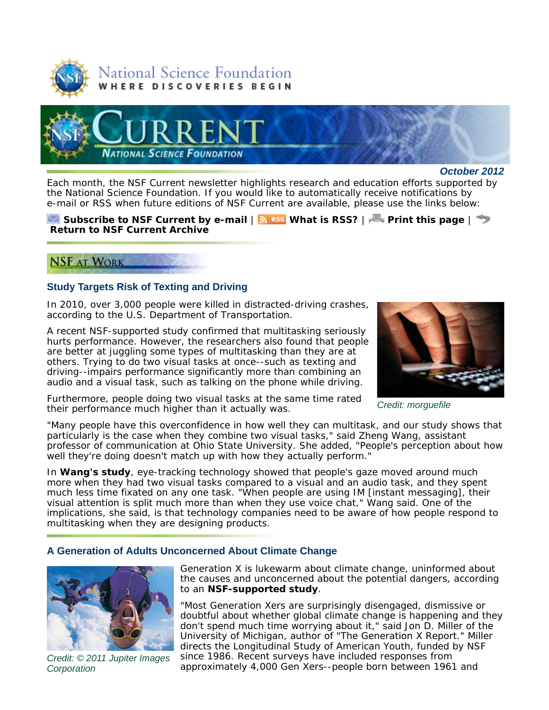



*October 2012*

Each month, the *NSF Current* newsletter highlights research and education efforts supported by the National Science Foundation. If you would like to automatically receive notifications by e-mail or RSS when future editions of *NSF Current* are available, please use the links below:

#### **Subscribe to** *NSF Current* **by e-mail** | **What is RSS?** | **Print this page** | **Return to** *NSF Current* **Archive**

# **NSF AT WORK**

## **Study Targets Risk of Texting and Driving**

In 2010, over 3,000 people were killed in distracted-driving crashes, according to the U.S. Department of Transportation.

A recent NSF-supported study confirmed that multitasking seriously hurts performance. However, the researchers also found that people are better at juggling some types of multitasking than they are at others. Trying to do two visual tasks at once--such as texting and driving--impairs performance significantly more than combining an audio and a visual task, such as talking on the phone while driving.

Furthermore, people doing two visual tasks at the same time rated their performance much higher than it actually was.



*Credit: morguefile*

"Many people have this overconfidence in how well they can multitask, and our study shows that particularly is the case when they combine two visual tasks," said Zheng Wang, assistant professor of communication at Ohio State University. She added, "People's perception about how well they're doing doesn't match up with how they actually perform."

In **Wang's study**, eye-tracking technology showed that people's gaze moved around much more when they had two visual tasks compared to a visual and an audio task, and they spent much less time fixated on any one task. "When people are using IM [instant messaging], their visual attention is split much more than when they use voice chat," Wang said. One of the implications, she said, is that technology companies need to be aware of how people respond to multitasking when they are designing products.

#### **A Generation of Adults Unconcerned About Climate Change**



*Credit: © 2011 Jupiter Images Corporation*

Generation X is lukewarm about climate change, uninformed about the causes and unconcerned about the potential dangers, according to an **NSF-supported study**.

"Most Generation Xers are surprisingly disengaged, dismissive or doubtful about whether global climate change is happening and they don't spend much time worrying about it," said Jon D. Miller of the University of Michigan, author of "The Generation X Report." Miller directs the Longitudinal Study of American Youth, funded by NSF since 1986. Recent surveys have included responses from approximately 4,000 Gen Xers--people born between 1961 and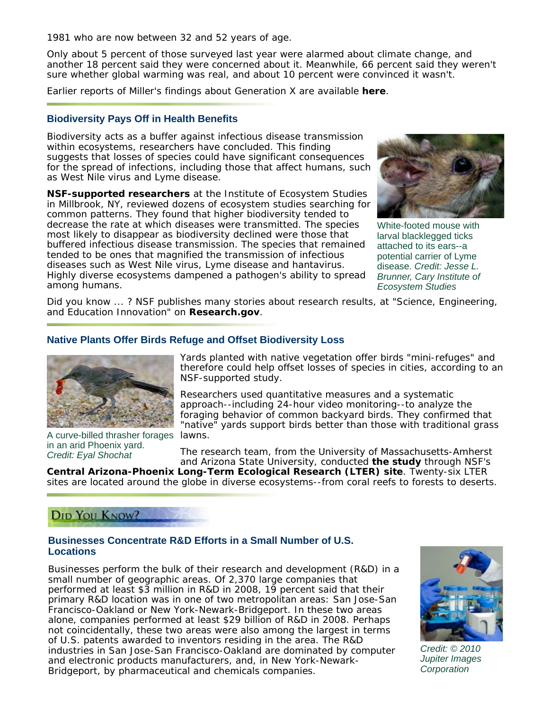1981 who are now between 32 and 52 years of age.

Only about 5 percent of those surveyed last year were alarmed about climate change, and another 18 percent said they were concerned about it. Meanwhile, 66 percent said they weren't sure whether global warming was real, and about 10 percent were convinced it wasn't.

Earlier reports of Miller's findings about Generation X are available **here**.

#### **Biodiversity Pays Off in Health Benefits**

Biodiversity acts as a buffer against infectious disease transmission within ecosystems, researchers have concluded. This finding suggests that losses of species could have significant consequences for the spread of infections, including those that affect humans, such as West Nile virus and Lyme disease.

**NSF-supported researchers** at the Institute of Ecosystem Studies in Millbrook, NY, reviewed dozens of ecosystem studies searching for common patterns. They found that higher biodiversity tended to decrease the rate at which diseases were transmitted. The species most likely to disappear as biodiversity declined were those that buffered infectious disease transmission. The species that remained tended to be ones that magnified the transmission of infectious diseases such as West Nile virus, Lyme disease and hantavirus. Highly diverse ecosystems dampened a pathogen's ability to spread among humans.



White-footed mouse with larval blacklegged ticks attached to its ears--a potential carrier of Lyme disease. *Credit: Jesse L. Brunner, Cary Institute of Ecosystem Studies*

*Did you know ... ? NSF publishes many stories about research results, at "Science, Engineering, and Education Innovation" on Research.gov.*

## **Native Plants Offer Birds Refuge and Offset Biodiversity Loss**



A curve-billed thrasher forages lawns. in an arid Phoenix yard. *Credit: Eyal Shochat*

Yards planted with native vegetation offer birds "mini-refuges" and therefore could help offset losses of species in cities, according to an NSF-supported study.

Researchers used quantitative measures and a systematic approach--including 24-hour video monitoring--to analyze the foraging behavior of common backyard birds. They confirmed that "native" yards support birds better than those with traditional grass

The research team, from the University of Massachusetts-Amherst and Arizona State University, conducted **the study** through NSF's

**Central Arizona-Phoenix Long-Term Ecological Research (LTER) site**. Twenty-six LTER sites are located around the globe in diverse ecosystems--from coral reefs to forests to deserts.

# DID YOU KNOW?

#### **Businesses Concentrate R&D Efforts in a Small Number of U.S. Locations**

Businesses perform the bulk of their research and development (R&D) in a small number of geographic areas. Of 2,370 large companies that performed at least \$3 million in R&D in 2008, 19 percent said that their primary R&D location was in one of two metropolitan areas: San Jose-San Francisco-Oakland or New York-Newark-Bridgeport. In these two areas alone, companies performed at least \$29 billion of R&D in 2008. Perhaps not coincidentally, these two areas were also among the largest in terms of U.S. patents awarded to inventors residing in the area. The R&D industries in San Jose-San Francisco-Oakland are dominated by computer and electronic products manufacturers, and, in New York-Newark-Bridgeport, by pharmaceutical and chemicals companies.



*Credit: © 2010 Jupiter Images Corporation*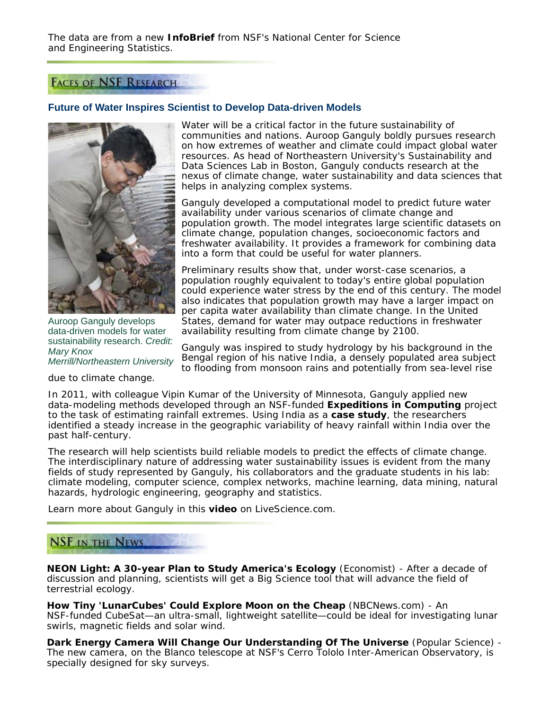The data are from a new **InfoBrief** from NSF's National Center for Science and Engineering Statistics.

# **FACES OF NSF RESEARCH**

## **Future of Water Inspires Scientist to Develop Data-driven Models**



Auroop Ganguly develops data-driven models for water sustainability research. *Credit: Mary Knox Merrill/Northeastern University*

due to climate change.

Water will be a critical factor in the future sustainability of communities and nations. Auroop Ganguly boldly pursues research on how extremes of weather and climate could impact global water resources. As head of Northeastern University's Sustainability and Data Sciences Lab in Boston, Ganguly conducts research at the nexus of climate change, water sustainability and data sciences that helps in analyzing complex systems.

Ganguly developed a computational model to predict future water availability under various scenarios of climate change and population growth. The model integrates large scientific datasets on climate change, population changes, socioeconomic factors and freshwater availability. It provides a framework for combining data into a form that could be useful for water planners.

Preliminary results show that, under worst-case scenarios, a population roughly equivalent to today's entire global population could experience water stress by the end of this century. The model also indicates that population growth may have a larger impact on per capita water availability than climate change. In the United States, demand for water may outpace reductions in freshwater availability resulting from climate change by 2100.

Ganguly was inspired to study hydrology by his background in the Bengal region of his native India, a densely populated area subject to flooding from monsoon rains and potentially from sea-level rise

In 2011, with colleague Vipin Kumar of the University of Minnesota, Ganguly applied new data-modeling methods developed through an NSF-funded **Expeditions in Computing** project to the task of estimating rainfall extremes. Using India as a **case study**, the researchers identified a steady increase in the geographic variability of heavy rainfall within India over the past half-century.

The research will help scientists build reliable models to predict the effects of climate change. The interdisciplinary nature of addressing water sustainability issues is evident from the many fields of study represented by Ganguly, his collaborators and the graduate students in his lab: climate modeling, computer science, complex networks, machine learning, data mining, natural hazards, hydrologic engineering, geography and statistics.

Learn more about Ganguly in this **video** on LiveScience.com.

# **NSF IN THE NEWS**

**NEON Light: A 30-year Plan to Study America's Ecology** (*Economist*) - After a decade of discussion and planning, scientists will get a Big Science tool that will advance the field of terrestrial ecology.

**How Tiny 'LunarCubes' Could Explore Moon on the Cheap** (*NBCNews.com*) - An NSF-funded CubeSat—an ultra-small, lightweight satellite—could be ideal for investigating lunar swirls, magnetic fields and solar wind.

**Dark Energy Camera Will Change Our Understanding Of The Universe** (*Popular Science*) - The new camera, on the Blanco telescope at NSF's Cerro Tololo Inter-American Observatory, is specially designed for sky surveys.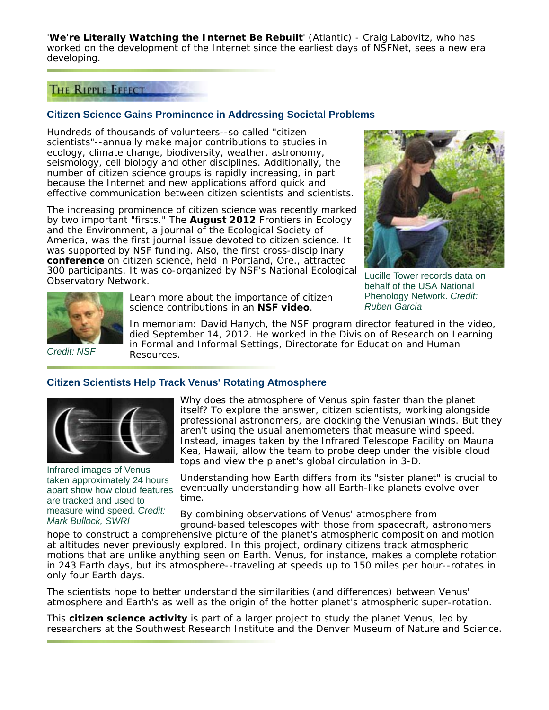'**We're Literally Watching the Internet Be Rebuilt**' (*Atlantic*) - Craig Labovitz, who has worked on the development of the Internet since the earliest days of NSFNet, sees a new era developing.

# THE RIPPLE EFFECT

## **Citizen Science Gains Prominence in Addressing Societal Problems**

Hundreds of thousands of volunteers--so called "citizen scientists"--annually make major contributions to studies in ecology, climate change, biodiversity, weather, astronomy, seismology, cell biology and other disciplines. Additionally, the number of citizen science groups is rapidly increasing, in part because the Internet and new applications afford quick and effective communication between citizen scientists and scientists.

The increasing prominence of citizen science was recently marked by two important "firsts." The **August 2012** *Frontiers in Ecology and the Environment*, a journal of the Ecological Society of America, was the first journal issue devoted to citizen science. It was supported by NSF funding. Also, the first cross-disciplinary **conference** on citizen science, held in Portland, Ore., attracted 300 participants. It was co-organized by NSF's National Ecological Observatory Network.



*Credit: NSF*

Learn more about the importance of citizen science contributions in an **NSF video**.



Lucille Tower records data on behalf of the USA National Phenology Network. *Credit: Ruben Garcia*

*In memoriam: David Hanych, the NSF program director featured in the video, died September 14, 2012. He worked in the Division of Research on Learning in Formal and Informal Settings, Directorate for Education and Human Resources.*

## **Citizen Scientists Help Track Venus' Rotating Atmosphere**



Infrared images of Venus taken approximately 24 hours apart show how cloud features are tracked and used to measure wind speed. *Credit: Mark Bullock, SWRI*

Why does the atmosphere of Venus spin faster than the planet itself? To explore the answer, citizen scientists, working alongside professional astronomers, are clocking the Venusian winds. But they aren't using the usual anemometers that measure wind speed. Instead, images taken by the Infrared Telescope Facility on Mauna Kea, Hawaii, allow the team to probe deep under the visible cloud tops and view the planet's global circulation in 3-D.

Understanding how Earth differs from its "sister planet" is crucial to eventually understanding how all Earth-like planets evolve over time.

By combining observations of Venus' atmosphere from

ground-based telescopes with those from spacecraft, astronomers hope to construct a comprehensive picture of the planet's atmospheric composition and motion at altitudes never previously explored. In this project, ordinary citizens track atmospheric motions that are unlike anything seen on Earth. Venus, for instance, makes a complete rotation in 243 Earth days, but its atmosphere--traveling at speeds up to 150 miles per hour--rotates in only four Earth days.

The scientists hope to better understand the similarities (and differences) between Venus' atmosphere and Earth's as well as the origin of the hotter planet's atmospheric super-rotation.

This **citizen science activity** is part of a larger project to study the planet Venus, led by researchers at the Southwest Research Institute and the Denver Museum of Nature and Science.